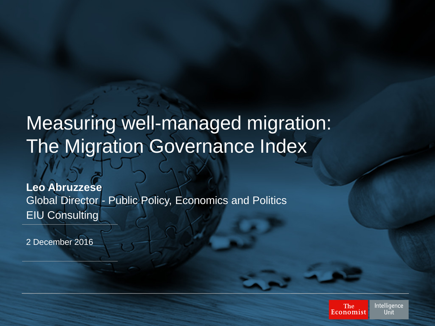# Measuring well-managed migration: The Migration Governance Index

**Leo Abruzzese** Global Director - Public Policy, Economics and Politics EIU Consulting

2 December 2016

Intelligence **The** Unit Economist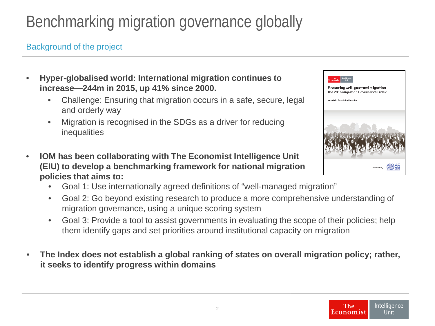# Benchmarking migration governance globally

#### Background of the project

- **Hyper-globalised world: International migration continues to increase—244m in 2015, up 41% since 2000.**
	- Challenge: Ensuring that migration occurs in a safe, secure, legal and orderly way
	- Migration is recognised in the SDGs as a driver for reducing inequalities
- **IOM has been collaborating with The Economist Intelligence Unit (EIU) to develop a benchmarking framework for national migration policies that aims to:**
	- Goal 1: Use internationally agreed definitions of "well-managed migration"
	- Goal 2: Go beyond existing research to produce a more comprehensive understanding of migration governance, using a unique scoring system
	- Goal 3: Provide a tool to assist governments in evaluating the scope of their policies; help them identify gaps and set priorities around institutional capacity on migration
- **The Index does not establish a global ranking of states on overall migration policy; rather, it seeks to identify progress within domains**

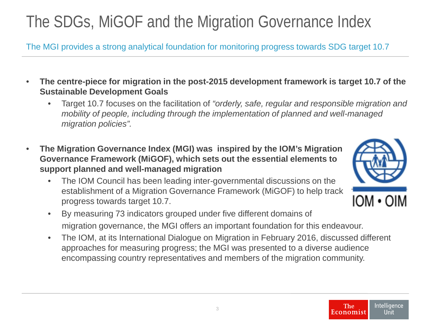# The SDGs, MiGOF and the Migration Governance Index

The MGI provides a strong analytical foundation for monitoring progress towards SDG target 10.7

- **The centre-piece for migration in the post-2015 development framework is target 10.7 of the Sustainable Development Goals** 
	- Target 10.7 focuses on the facilitation of *"orderly, safe, regular and responsible migration and mobility of people, including through the implementation of planned and well-managed migration policies".*
- **The Migration Governance Index (MGI) was inspired by the IOM's Migration Governance Framework (MiGOF), which sets out the essential elements to support planned and well-managed migration**
	- The IOM Council has been leading inter-governmental discussions on the establishment of a Migration Governance Framework (MiGOF) to help track progress towards target 10.7.



- By measuring 73 indicators grouped under five different domains of migration governance, the MGI offers an important foundation for this endeavour.
- The IOM, at its International Dialogue on Migration in February 2016, discussed different approaches for measuring progress; the MGI was presented to a diverse audience encompassing country representatives and members of the migration community.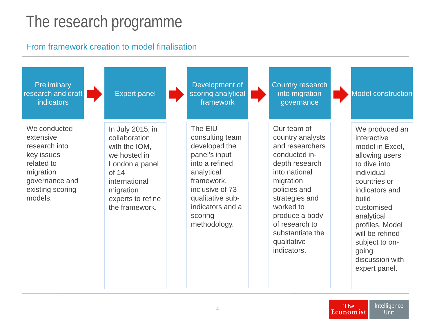#### The research programme

#### From framework creation to model finalisation

| Preliminary<br>research and draft<br><b>indicators</b>                                                                               | <b>Expert panel</b>                                                                                                                                                | Development of<br>scoring analytical<br>framework                                                                                                                                                | <b>Country research</b><br>into migration<br>governance                                                                                                                                                                                                  | <b>Model construction</b>                                                                                                                                                                                                                                                    |
|--------------------------------------------------------------------------------------------------------------------------------------|--------------------------------------------------------------------------------------------------------------------------------------------------------------------|--------------------------------------------------------------------------------------------------------------------------------------------------------------------------------------------------|----------------------------------------------------------------------------------------------------------------------------------------------------------------------------------------------------------------------------------------------------------|------------------------------------------------------------------------------------------------------------------------------------------------------------------------------------------------------------------------------------------------------------------------------|
| We conducted<br>extensive<br>research into<br>key issues<br>related to<br>migration<br>governance and<br>existing scoring<br>models. | In July 2015, in<br>collaboration<br>with the IOM,<br>we hosted in<br>London a panel<br>of 14<br>international<br>migration<br>experts to refine<br>the framework. | The EIU<br>consulting team<br>developed the<br>panel's input<br>into a refined<br>analytical<br>framework,<br>inclusive of 73<br>qualitative sub-<br>indicators and a<br>scoring<br>methodology. | Our team of<br>country analysts<br>and researchers<br>conducted in-<br>depth research<br>into national<br>migration<br>policies and<br>strategies and<br>worked to<br>produce a body<br>of research to<br>substantiate the<br>qualitative<br>indicators. | We produced an<br>interactive<br>model in Excel,<br>allowing users<br>to dive into<br>individual<br>countries or<br>indicators and<br>build<br>customised<br>analytical<br>profiles. Model<br>will be refined<br>subject to on-<br>going<br>discussion with<br>expert panel. |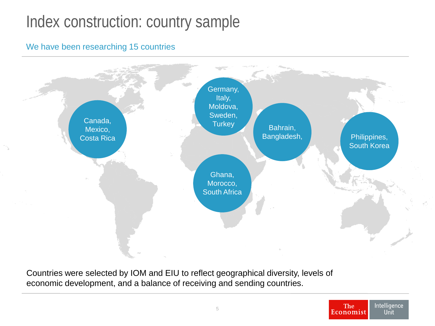#### Index construction: country sample

#### We have been researching 15 countries



Countries were selected by IOM and EIU to reflect geographical diversity, levels of economic development, and a balance of receiving and sending countries.

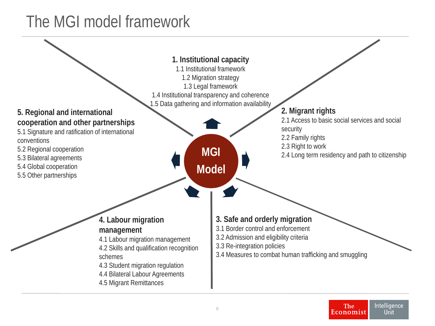### The MGI model framework

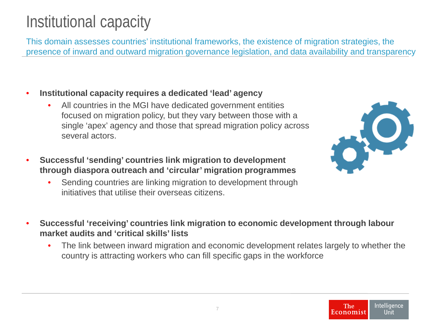#### Intelligence **The** Economist Unit

## Institutional capacity

This domain assesses countries' institutional frameworks, the existence of migration strategies, the presence of inward and outward migration governance legislation, and data availability and transparency

- **Institutional capacity requires a dedicated 'lead' agency**
	- All countries in the MGI have dedicated government entities focused on migration policy, but they vary between those with a single 'apex' agency and those that spread migration policy across several actors.
- **Successful 'sending' countries link migration to development through diaspora outreach and 'circular' migration programmes**
	- Sending countries are linking migration to development through initiatives that utilise their overseas citizens.
- **Successful 'receiving' countries link migration to economic development through labour market audits and 'critical skills' lists**
	- The link between inward migration and economic development relates largely to whether the country is attracting workers who can fill specific gaps in the workforce

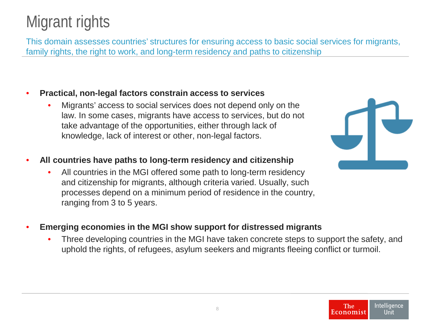## Migrant rights

This domain assesses countries' structures for ensuring access to basic social services for migrants, family rights, the right to work, and long-term residency and paths to citizenship

- **Practical, non-legal factors constrain access to services**
	- Migrants' access to social services does not depend only on the law. In some cases, migrants have access to services, but do not take advantage of the opportunities, either through lack of knowledge, lack of interest or other, non-legal factors.
- **All countries have paths to long-term residency and citizenship**
	- All countries in the MGI offered some path to long-term residency and citizenship for migrants, although criteria varied. Usually, such processes depend on a minimum period of residence in the country, ranging from 3 to 5 years.
- **Emerging economies in the MGI show support for distressed migrants**
	- Three developing countries in the MGI have taken concrete steps to support the safety, and uphold the rights, of refugees, asylum seekers and migrants fleeing conflict or turmoil.

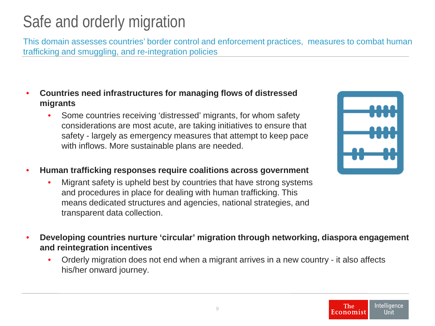# Safe and orderly migration

This domain assesses countries' border control and enforcement practices, measures to combat human trafficking and smuggling, and re-integration policies

- **Countries need infrastructures for managing flows of distressed migrants**
	- Some countries receiving 'distressed' migrants, for whom safety considerations are most acute, are taking initiatives to ensure that safety - largely as emergency measures that attempt to keep pace with inflows. More sustainable plans are needed.
- **Human trafficking responses require coalitions across government**
	- Migrant safety is upheld best by countries that have strong systems and procedures in place for dealing with human trafficking. This means dedicated structures and agencies, national strategies, and transparent data collection.
- **Developing countries nurture 'circular' migration through networking, diaspora engagement and reintegration incentives**
	- Orderly migration does not end when a migrant arrives in a new country it also affects his/her onward journey.

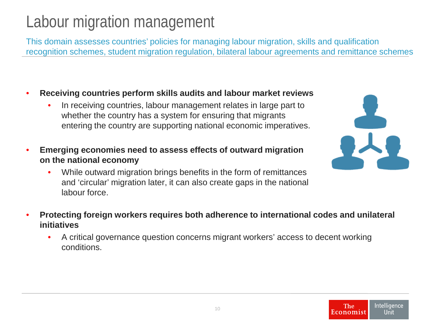# Labour migration management

This domain assesses countries' policies for managing labour migration, skills and qualification recognition schemes, student migration regulation, bilateral labour agreements and remittance schemes

- **Receiving countries perform skills audits and labour market reviews**
	- In receiving countries, labour management relates in large part to whether the country has a system for ensuring that migrants entering the country are supporting national economic imperatives.
- **Emerging economies need to assess effects of outward migration on the national economy**
	- While outward migration brings benefits in the form of remittances and 'circular' migration later, it can also create gaps in the national labour force.



- **Protecting foreign workers requires both adherence to international codes and unilateral initiatives**
	- A critical governance question concerns migrant workers' access to decent working conditions.

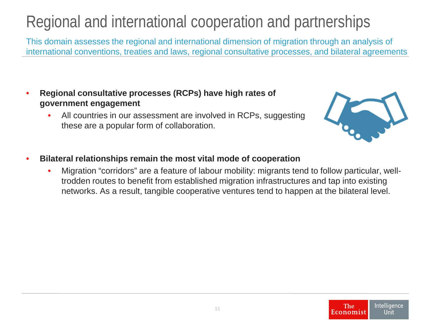## Regional and international cooperation and partnerships

This domain assesses the regional and international dimension of migration through an analysis of international conventions, treaties and laws, regional consultative processes, and bilateral agreements

- **Regional consultative processes (RCPs) have high rates of government engagement**
	- All countries in our assessment are involved in RCPs, suggesting these are a popular form of collaboration.



- **Bilateral relationships remain the most vital mode of cooperation** 
	- Migration "corridors" are a feature of labour mobility: migrants tend to follow particular, welltrodden routes to benefit from established migration infrastructures and tap into existing networks. As a result, tangible cooperative ventures tend to happen at the bilateral level.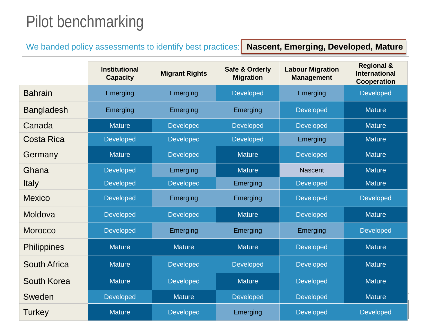### Pilot benchmarking

We banded policy assessments to identify best practices: **Nascent, Emerging, Developed, Mature** 

|                     | <b>Institutional</b><br><b>Capacity</b> | <b>Migrant Rights</b> | Safe & Orderly<br><b>Migration</b> | <b>Labour Migration</b><br><b>Management</b> | <b>Regional &amp;</b><br><b>International</b><br><b>Cooperation</b> |
|---------------------|-----------------------------------------|-----------------------|------------------------------------|----------------------------------------------|---------------------------------------------------------------------|
| <b>Bahrain</b>      | Emerging                                | Emerging              | Developed                          | Emerging                                     | Developed                                                           |
| <b>Bangladesh</b>   | Emerging                                | Emerging              | Emerging                           | <b>Developed</b>                             | <b>Mature</b>                                                       |
| Canada              | <b>Mature</b>                           | <b>Developed</b>      | Developed                          | <b>Developed</b>                             | <b>Mature</b>                                                       |
| <b>Costa Rica</b>   | <b>Developed</b>                        | <b>Developed</b>      | Developed                          | Emerging                                     | <b>Mature</b>                                                       |
| Germany             | <b>Mature</b>                           | Developed             | <b>Mature</b>                      | <b>Developed</b>                             | <b>Mature</b>                                                       |
| Ghana               | <b>Developed</b>                        | Emerging              | <b>Mature</b>                      | <b>Nascent</b>                               | <b>Mature</b>                                                       |
| <b>Italy</b>        | Developed                               | Developed             | Emerging                           | <b>Developed</b>                             | <b>Mature</b>                                                       |
| <b>Mexico</b>       | <b>Developed</b>                        | Emerging              | Emerging                           | <b>Developed</b>                             | <b>Developed</b>                                                    |
| Moldova             | <b>Developed</b>                        | Developed             | <b>Mature</b>                      | <b>Developed</b>                             | <b>Mature</b>                                                       |
| <b>Morocco</b>      | <b>Developed</b>                        | Emerging              | Emerging                           | Emerging                                     | <b>Developed</b>                                                    |
| <b>Philippines</b>  | <b>Mature</b>                           | <b>Mature</b>         | <b>Mature</b>                      | Developed                                    | <b>Mature</b>                                                       |
| <b>South Africa</b> | <b>Mature</b>                           | Developed             | Developed                          | <b>Developed</b>                             | <b>Mature</b>                                                       |
| South Korea         | <b>Mature</b>                           | Developed             | <b>Mature</b>                      | <b>Developed</b>                             | <b>Mature</b>                                                       |
| Sweden              | <b>Developed</b>                        | <b>Mature</b>         | Developed                          | <b>Developed</b>                             | <b>Mature</b>                                                       |
| Turkey              | <b>Mature</b>                           | <b>Developed</b>      | Emerging                           | <b>Developed</b>                             | <b>Developed</b>                                                    |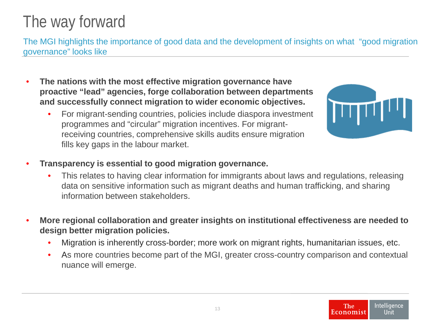#### Intelligence **The** Economist Unit

### The way forward

The MGI highlights the importance of good data and the development of insights on what "good migration governance" looks like

- **The nations with the most effective migration governance have proactive "lead" agencies, forge collaboration between departments and successfully connect migration to wider economic objectives.**
	- For migrant-sending countries, policies include diaspora investment programmes and "circular" migration incentives. For migrantreceiving countries, comprehensive skills audits ensure migration fills key gaps in the labour market.
- **Transparency is essential to good migration governance.** 
	- This relates to having clear information for immigrants about laws and regulations, releasing data on sensitive information such as migrant deaths and human trafficking, and sharing information between stakeholders.
	- **More regional collaboration and greater insights on institutional effectiveness are needed to design better migration policies.**
		- Migration is inherently cross-border; more work on migrant rights, humanitarian issues, etc.
		- As more countries become part of the MGI, greater cross-country comparison and contextual nuance will emerge.